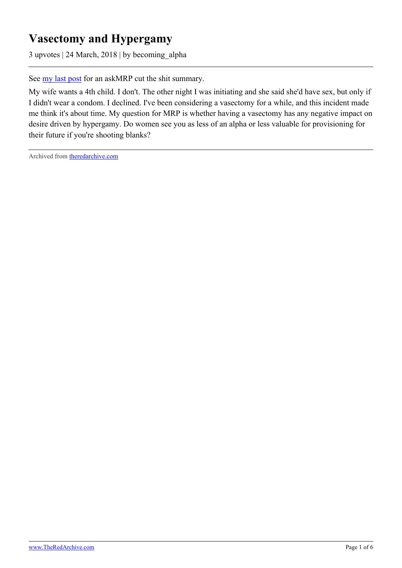## **Vasectomy and Hypergamy**

3 upvotes | 24 March, 2018 | by becoming\_alpha

See <u>my last post</u> for an askMRP cut the shit summary.

My wife wants a 4th child. I don't. The other night I was initiating and she said she'd have sex, but only if I didn't wear a condom. I declined. I've been considering a vasectomy for a while, and this incident made me think it's about time. My question for MRP is whether having a vasectomy has any negative impact on desire driven by hypergamy. Do women see you as less of an alpha or less valuable for provisioning for their future if you're shooting blanks?

Archived from [theredarchive.com](https://theredarchive.com/r/askMRP/vasectomy-and-hypergamy.204684)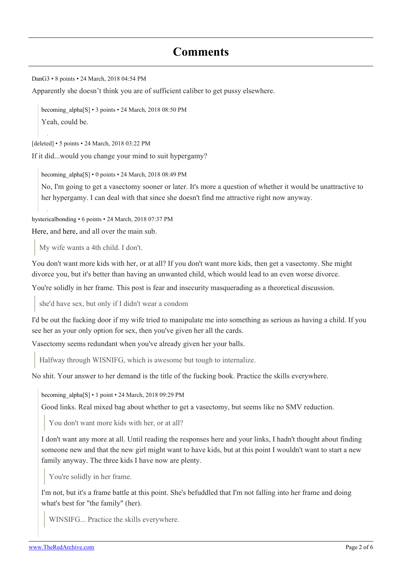[DanG3](https://old.reddit.com/user/DanG3) • 8 points • 24 March, 2018 04:54 PM

Apparently she doesn't think you are of sufficient caliber to get pussy elsewhere.

[becoming\\_alpha](https://old.reddit.com/user/becoming_alpha)[\[S\]](https://theredarchive.com/r/askMRP/comments/86to1a/vasectomy_and_hypergamy/) • 3 points • 24 March, 2018 08:50 PM Yeah, could be.

[deleted] • 5 points • 24 March, 2018 03:22 PM

If it did...would you change your mind to suit hypergamy?

[becoming\\_alpha](https://old.reddit.com/user/becoming_alpha)[\[S\]](https://theredarchive.com/r/askMRP/comments/86to1a/vasectomy_and_hypergamy/) • 0 points • 24 March, 2018 08:49 PM

No, I'm going to get a vasectomy sooner or later. It's more a question of whether it would be unattractive to her hypergamy. I can deal with that since she doesn't find me attractive right now anyway.

[hystericalbonding](https://old.reddit.com/user/hystericalbonding) • 6 points • 24 March, 2018 07:37 PM

[Here,](https://www.reddit.com/r/askMRP/comments/4gpwq6/vasectomy/) and [here,](https://www.reddit.com/r/marriedredpill/comments/3gr7g3/vasectomy_and_dread/) and all over the main sub.

My wife wants a 4th child. I don't.

You don't want more kids with her, or at all? If you don't want more kids, then get a vasectomy. She might divorce you, but it's better than having an unwanted child, which would lead to an even worse divorce.

You're solidly in her frame. This post is fear and insecurity masquerading as a theoretical discussion.

she'd have sex, but only if I didn't wear a condom

I'd be out the fucking door if my wife tried to manipulate me into something as serious as having a child. If you see her as your only option for sex, then you've given her all the cards.

Vasectomy seems redundant when you've already given her your balls.

Halfway through WISNIFG, which is awesome but tough to internalize.

No shit. Your answer to her demand is the title of the fucking book. Practice the skills everywhere.

becoming alpha[\[S\]](https://theredarchive.com/r/askMRP/comments/86to1a/vasectomy_and_hypergamy/) • 1 point • 24 March, 2018 09:29 PM

Good links. Real mixed bag about whether to get a vasectomy, but seems like no SMV reduction.

You don't want more kids with her, or at all?

I don't want any more at all. Until reading the responses here and your links, I hadn't thought about finding someone new and that the new girl might want to have kids, but at this point I wouldn't want to start a new family anyway. The three kids I have now are plenty.

You're solidly in her frame.

I'm not, but it's a frame battle at this point. She's befuddled that I'm not falling into her frame and doing what's best for "the family" (her).

WINSIFG... Practice the skills everywhere.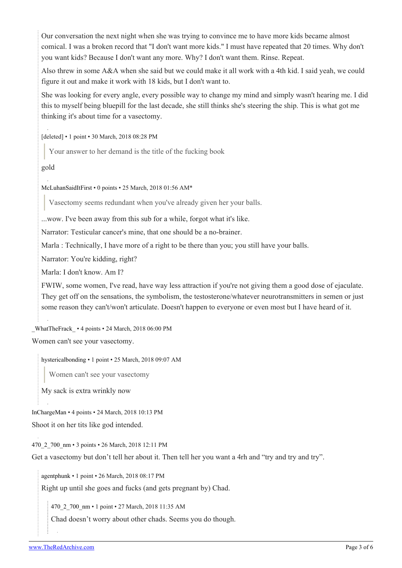Our conversation the next night when she was trying to convince me to have more kids became almost comical. I was a broken record that "I don't want more kids." I must have repeated that 20 times. Why don't you want kids? Because I don't want any more. Why? I don't want them. Rinse. Repeat.

Also threw in some A&A when she said but we could make it all work with a 4th kid. I said yeah, we could figure it out and make it work with 18 kids, but I don't want to.

She was looking for every angle, every possible way to change my mind and simply wasn't hearing me. I did this to myself being bluepill for the last decade, she still thinks she's steering the ship. This is what got me thinking it's about time for a vasectomy.

[deleted] • 1 point • 30 March, 2018 08:28 PM

Your answer to her demand is the title of the fucking book

gold

[McLuhanSaidItFirst](https://old.reddit.com/user/McLuhanSaidItFirst) • 0 points • 25 March, 2018 01:56 AM\*

Vasectomy seems redundant when you've already given her your balls.

...wow. I've been away from this sub for a while, forgot what it's like.

Narrator: Testicular cancer's mine, that one should be a no-brainer.

Marla : Technically, I have more of a right to be there than you; you still have your balls.

Narrator: You're kidding, right?

Marla: I don't know. Am I?

FWIW, some women, I've read, have way less attraction if you're not giving them a good dose of ejaculate. They get off on the sensations, the symbolism, the testosterone/whatever neurotransmitters in semen or just some reason they can't/won't articulate. Doesn't happen to everyone or even most but I have heard of it.

[\\_WhatTheFrack\\_](https://old.reddit.com/user/_WhatTheFrack_) • 4 points • 24 March, 2018 06:00 PM Women can't see your vasectomy.

[hystericalbonding](https://old.reddit.com/user/hystericalbonding) • 1 point • 25 March, 2018 09:07 AM

Women can't see your vasectomy

My sack is extra wrinkly now

[InChargeMan](https://old.reddit.com/user/InChargeMan) • 4 points • 24 March, 2018 10:13 PM Shoot it on her tits like god intended.

[470\\_2\\_700\\_nm](https://old.reddit.com/user/470_2_700_nm) • 3 points • 26 March, 2018 12:11 PM

Get a vasectomy but don't tell her about it. Then tell her you want a 4rh and "try and try and try".

[agentphunk](https://old.reddit.com/user/agentphunk) • 1 point • 26 March, 2018 08:17 PM

Right up until she goes and fucks (and gets pregnant by) Chad.

[470\\_2\\_700\\_nm](https://old.reddit.com/user/470_2_700_nm) • 1 point • 27 March, 2018 11:35 AM

Chad doesn't worry about other chads. Seems you do though.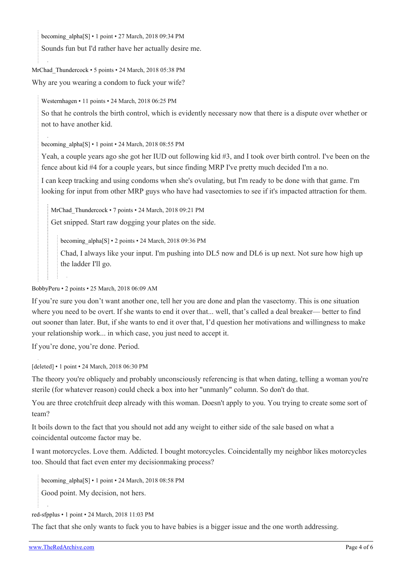becoming  $alpha[S] \cdot 1$  $alpha[S] \cdot 1$  $alpha[S] \cdot 1$  point  $\cdot$  27 March, 2018 09:34 PM

Sounds fun but I'd rather have her actually desire me.

[MrChad\\_Thundercock](https://old.reddit.com/user/MrChad_Thundercock) • 5 points • 24 March, 2018 05:38 PM

Why are you wearing a condom to fuck your wife?

[Westernhagen](https://old.reddit.com/user/Westernhagen) • 11 points • 24 March, 2018 06:25 PM

So that he controls the birth control, which is evidently necessary now that there is a dispute over whether or not to have another kid.

becoming  $alpha[S] \cdot 1$  $alpha[S] \cdot 1$  $alpha[S] \cdot 1$  point  $\cdot 24$  March, 2018 08:55 PM

Yeah, a couple years ago she got her IUD out following kid #3, and I took over birth control. I've been on the fence about kid #4 for a couple years, but since finding MRP I've pretty much decided I'm a no.

I can keep tracking and using condoms when she's ovulating, but I'm ready to be done with that game. I'm looking for input from other MRP guys who have had vasectomies to see if it's impacted attraction for them.

[MrChad\\_Thundercock](https://old.reddit.com/user/MrChad_Thundercock) • 7 points • 24 March, 2018 09:21 PM

Get snipped. Start raw dogging your plates on the side.

[becoming\\_alpha\[](https://old.reddit.com/user/becoming_alpha)[S](https://theredarchive.com/r/askMRP/comments/86to1a/vasectomy_and_hypergamy/)] • 2 points • 24 March, 2018 09:36 PM

Chad, I always like your input. I'm pushing into DL5 now and DL6 is up next. Not sure how high up the ladder I'll go.

[BobbyPeru](https://old.reddit.com/user/BobbyPeru) • 2 points • 25 March, 2018 06:09 AM

If you're sure you don't want another one, tell her you are done and plan the vasectomy. This is one situation where you need to be overt. If she wants to end it over that... well, that's called a deal breaker— better to find out sooner than later. But, if she wants to end it over that, I'd question her motivations and willingness to make your relationship work... in which case, you just need to accept it.

If you're done, you're done. Period.

[deleted] • 1 point • 24 March, 2018 06:30 PM

The theory you're obliquely and probably unconsciously referencing is that when dating, telling a woman you're sterile (for whatever reason) could check a box into her "unmanly" column. So don't do that.

You are three crotchfruit deep already with this woman. Doesn't apply to you. You trying to create some sort of team?

It boils down to the fact that you should not add any weight to either side of the sale based on what a coincidental outcome factor may be.

I want motorcycles. Love them. Addicted. I bought motorcycles. Coincidentally my neighbor likes motorcycles too. Should that fact even enter my decisionmaking process?

[becoming\\_alpha](https://old.reddit.com/user/becoming_alpha)[\[S\]](https://theredarchive.com/r/askMRP/comments/86to1a/vasectomy_and_hypergamy/) • 1 point • 24 March, 2018 08:58 PM

Good point. My decision, not hers.

[red-sfpplus](https://old.reddit.com/user/red-sfpplus) • 1 point • 24 March, 2018 11:03 PM

The fact that she only wants to fuck you to have babies is a bigger issue and the one worth addressing.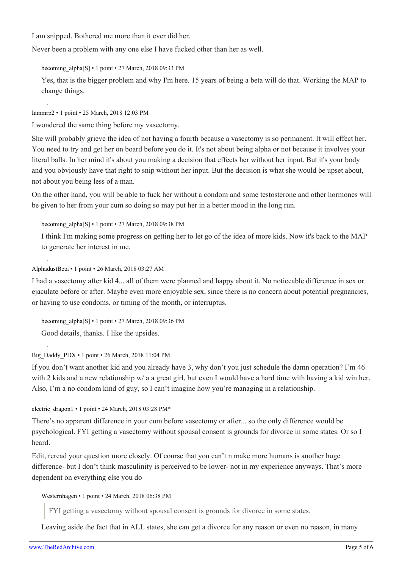I am snipped. Bothered me more than it ever did her.

Never been a problem with any one else I have fucked other than her as well.

becoming alpha[\[S\]](https://theredarchive.com/r/askMRP/comments/86to1a/vasectomy_and_hypergamy/) • 1 point • 27 March, 2018 09:33 PM

Yes, that is the bigger problem and why I'm here. 15 years of being a beta will do that. Working the MAP to change things.

[Iammrp2](https://old.reddit.com/user/Iammrp2) • 1 point • 25 March, 2018 12:03 PM

I wondered the same thing before my vasectomy.

She will probably grieve the idea of not having a fourth because a vasectomy is so permanent. It will effect her. You need to try and get her on board before you do it. It's not about being alpha or not because it involves your literal balls. In her mind it's about you making a decision that effects her without her input. But it's your body and you obviously have that right to snip without her input. But the decision is what she would be upset about, not about you being less of a man.

On the other hand, you will be able to fuck her without a condom and some testosterone and other hormones will be given to her from your cum so doing so may put her in a better mood in the long run.

[becoming\\_alpha](https://old.reddit.com/user/becoming_alpha)[\[S\]](https://theredarchive.com/r/askMRP/comments/86to1a/vasectomy_and_hypergamy/) • 1 point • 27 March, 2018 09:38 PM

I think I'm making some progress on getting her to let go of the idea of more kids. Now it's back to the MAP to generate her interest in me.

## [AlphadustBeta](https://old.reddit.com/user/AlphadustBeta) • 1 point • 26 March, 2018 03:27 AM

I had a vasectomy after kid 4... all of them were planned and happy about it. No noticeable difference in sex or ejaculate before or after. Maybe even more enjoyable sex, since there is no concern about potential pregnancies, or having to use condoms, or timing of the month, or interruptus.

[becoming\\_alpha](https://old.reddit.com/user/becoming_alpha)[\[S\]](https://theredarchive.com/r/askMRP/comments/86to1a/vasectomy_and_hypergamy/) • 1 point • 27 March, 2018 09:36 PM

Good details, thanks. I like the upsides.

[Big\\_Daddy\\_PDX](https://old.reddit.com/user/Big_Daddy_PDX) • 1 point • 26 March, 2018 11:04 PM

If you don't want another kid and you already have 3, why don't you just schedule the damn operation? I'm 46 with 2 kids and a new relationship w/ a a great girl, but even I would have a hard time with having a kid win her. Also, I'm a no condom kind of guy, so I can't imagine how you're managing in a relationship.

[electric\\_dragon1](https://old.reddit.com/user/electric_dragon1) • 1 point • 24 March, 2018 03:28 PM\*

There's no apparent difference in your cum before vasectomy or after... so the only difference would be psychological. FYI getting a vasectomy without spousal consent is grounds for divorce in some states. Or so I heard.

Edit, reread your question more closely. Of course that you can't n make more humans is another huge difference- but I don't think masculinity is perceived to be lower- not in my experience anyways. That's more dependent on everything else you do

[Westernhagen](https://old.reddit.com/user/Westernhagen) • 1 point • 24 March, 2018 06:38 PM

FYI getting a vasectomy without spousal consent is grounds for divorce in some states.

Leaving aside the fact that in ALL states, she can get a divorce for any reason or even no reason, in many